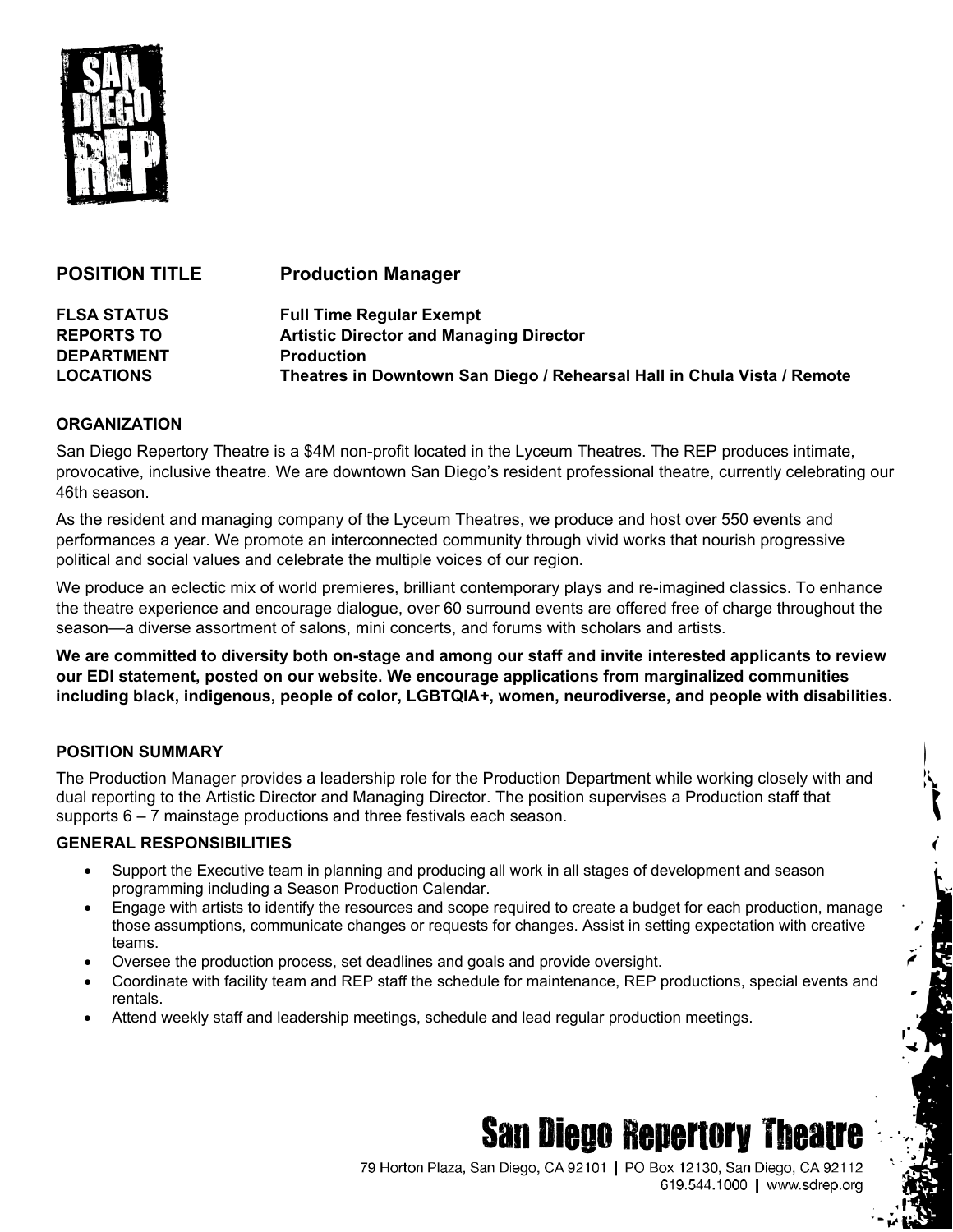

| <b>Production Manager</b>                                               |
|-------------------------------------------------------------------------|
| <b>Full Time Regular Exempt</b>                                         |
| <b>Artistic Director and Managing Director</b>                          |
| <b>Production</b>                                                       |
| Theatres in Downtown San Diego / Rehearsal Hall in Chula Vista / Remote |
|                                                                         |

## **ORGANIZATION**

San Diego Repertory Theatre is a \$4M non-profit located in the Lyceum Theatres. The REP produces intimate, provocative, inclusive theatre. We are downtown San Diego's resident professional theatre, currently celebrating our 46th season.

As the resident and managing company of the Lyceum Theatres, we produce and host over 550 events and performances a year. We promote an interconnected community through vivid works that nourish progressive political and social values and celebrate the multiple voices of our region.

We produce an eclectic mix of world premieres, brilliant contemporary plays and re-imagined classics. To enhance the theatre experience and encourage dialogue, over 60 surround events are offered free of charge throughout the season—a diverse assortment of salons, mini concerts, and forums with scholars and artists.

**We are committed to diversity both on-stage and among our staff and invite interested applicants to review our EDI statement, posted on our website. We encourage applications from marginalized communities including black, indigenous, people of color, LGBTQIA+, women, neurodiverse, and people with disabilities.**

## **POSITION SUMMARY**

The Production Manager provides a leadership role for the Production Department while working closely with and dual reporting to the Artistic Director and Managing Director. The position supervises a Production staff that supports 6 – 7 mainstage productions and three festivals each season.

## **GENERAL RESPONSIBILITIES**

- Support the Executive team in planning and producing all work in all stages of development and season programming including a Season Production Calendar.
- Engage with artists to identify the resources and scope required to create a budget for each production, manage those assumptions, communicate changes or requests for changes. Assist in setting expectation with creative teams.
- Oversee the production process, set deadlines and goals and provide oversight.
- Coordinate with facility team and REP staff the schedule for maintenance, REP productions, special events and rentals.
- Attend weekly staff and leadership meetings, schedule and lead regular production meetings.

# **San Diego Repertory Theatre**

79 Horton Plaza, San Diego, CA 92101 | PO Box 12130, San Diego, CA 92112 619.544.1000 | www.sdrep.org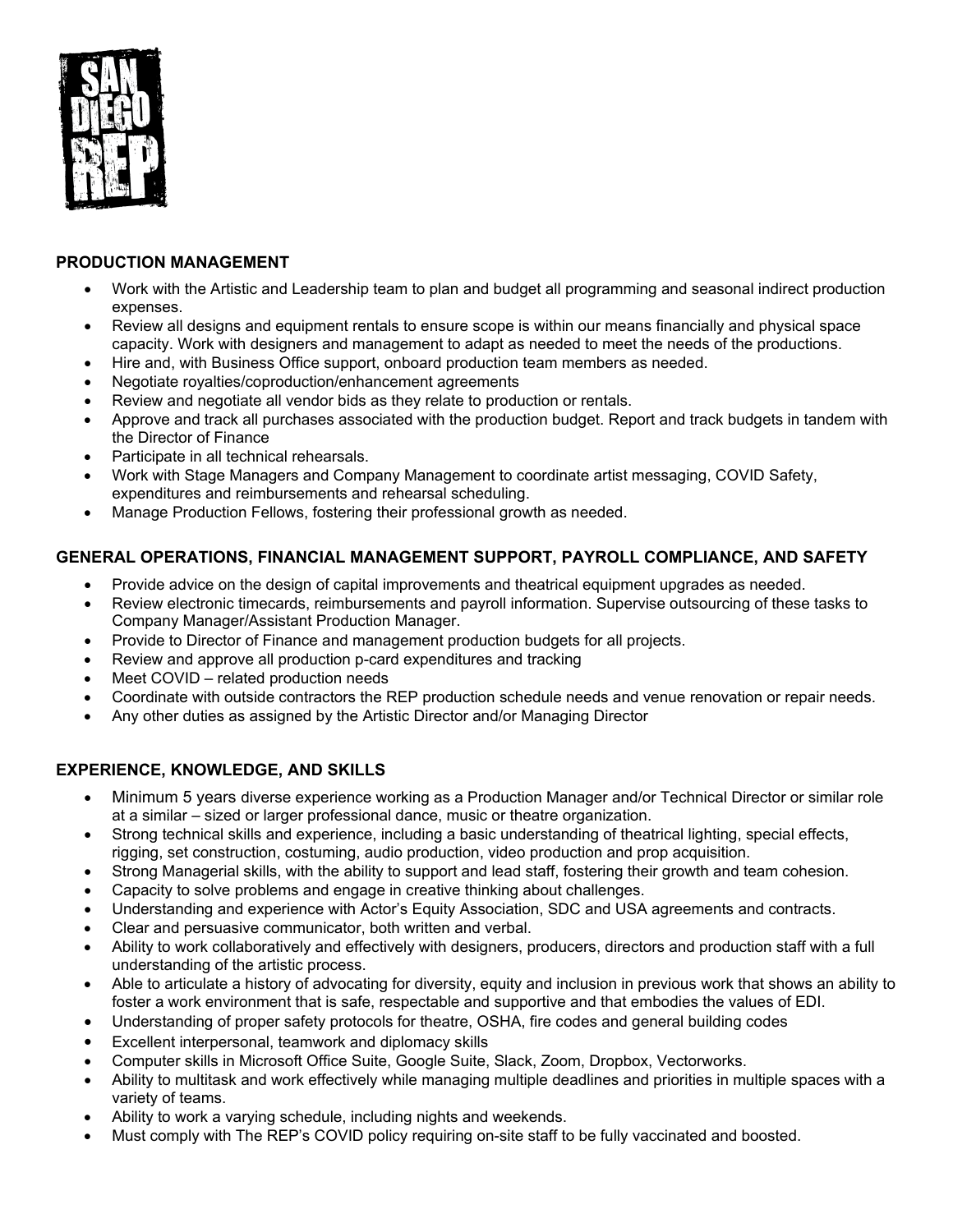

# **PRODUCTION MANAGEMENT**

- Work with the Artistic and Leadership team to plan and budget all programming and seasonal indirect production expenses.
- Review all designs and equipment rentals to ensure scope is within our means financially and physical space capacity. Work with designers and management to adapt as needed to meet the needs of the productions.
- Hire and, with Business Office support, onboard production team members as needed.
- Negotiate royalties/coproduction/enhancement agreements
- Review and negotiate all vendor bids as they relate to production or rentals.
- Approve and track all purchases associated with the production budget. Report and track budgets in tandem with the Director of Finance
- Participate in all technical rehearsals.
- Work with Stage Managers and Company Management to coordinate artist messaging, COVID Safety, expenditures and reimbursements and rehearsal scheduling.
- Manage Production Fellows, fostering their professional growth as needed.

# **GENERAL OPERATIONS, FINANCIAL MANAGEMENT SUPPORT, PAYROLL COMPLIANCE, AND SAFETY**

- Provide advice on the design of capital improvements and theatrical equipment upgrades as needed.
- Review electronic timecards, reimbursements and payroll information. Supervise outsourcing of these tasks to Company Manager/Assistant Production Manager.
- Provide to Director of Finance and management production budgets for all projects.
- Review and approve all production p-card expenditures and tracking
- Meet COVID related production needs
- Coordinate with outside contractors the REP production schedule needs and venue renovation or repair needs.
- Any other duties as assigned by the Artistic Director and/or Managing Director

# **EXPERIENCE, KNOWLEDGE, AND SKILLS**

- Minimum 5 years diverse experience working as a Production Manager and/or Technical Director or similar role at a similar – sized or larger professional dance, music or theatre organization.
- Strong technical skills and experience, including a basic understanding of theatrical lighting, special effects, rigging, set construction, costuming, audio production, video production and prop acquisition.
- Strong Managerial skills, with the ability to support and lead staff, fostering their growth and team cohesion.
- Capacity to solve problems and engage in creative thinking about challenges.
- Understanding and experience with Actor's Equity Association, SDC and USA agreements and contracts.
- Clear and persuasive communicator, both written and verbal.
- Ability to work collaboratively and effectively with designers, producers, directors and production staff with a full understanding of the artistic process.
- Able to articulate a history of advocating for diversity, equity and inclusion in previous work that shows an ability to foster a work environment that is safe, respectable and supportive and that embodies the values of EDI.
- Understanding of proper safety protocols for theatre, OSHA, fire codes and general building codes
- Excellent interpersonal, teamwork and diplomacy skills
- Computer skills in Microsoft Office Suite, Google Suite, Slack, Zoom, Dropbox, Vectorworks.
- Ability to multitask and work effectively while managing multiple deadlines and priorities in multiple spaces with a variety of teams.
- Ability to work a varying schedule, including nights and weekends.
- Must comply with The REP's COVID policy requiring on-site staff to be fully vaccinated and boosted.